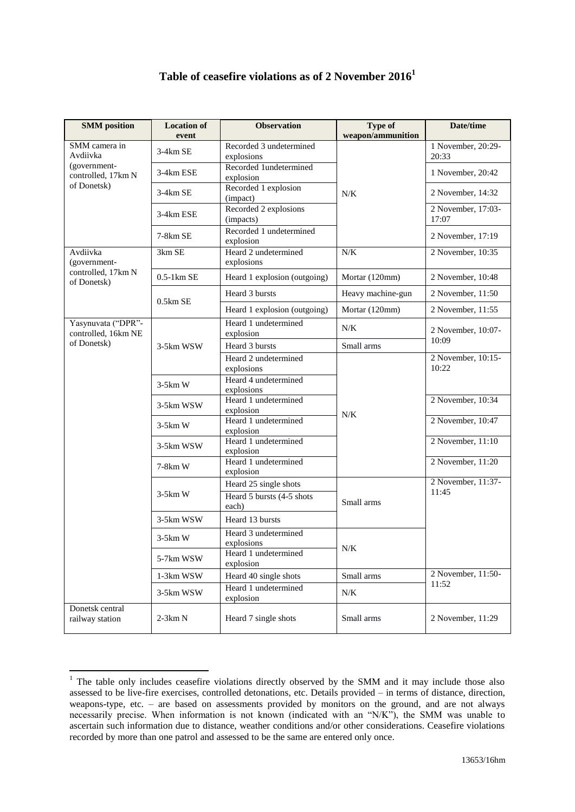## **Table of ceasefire violations as of 2 November 2016<sup>1</sup>**

| <b>SMM</b> position                                                            | <b>Location of</b><br>event | <b>Observation</b>                    | Type of<br>weapon/ammunition | Date/time                   |
|--------------------------------------------------------------------------------|-----------------------------|---------------------------------------|------------------------------|-----------------------------|
| SMM camera in<br>Avdiivka<br>(government-<br>controlled, 17km N<br>of Donetsk) | 3-4km SE                    | Recorded 3 undetermined<br>explosions | N/K                          | 1 November, 20:29-<br>20:33 |
|                                                                                | 3-4km ESE                   | Recorded 1undetermined<br>explosion   |                              | 1 November, 20:42           |
|                                                                                | 3-4km SE                    | Recorded 1 explosion<br>(impact)      |                              | 2 November, 14:32           |
|                                                                                | 3-4km ESE                   | Recorded 2 explosions<br>(impacts)    |                              | 2 November, 17:03-<br>17:07 |
|                                                                                | 7-8km SE                    | Recorded 1 undetermined<br>explosion  |                              | 2 November, 17:19           |
| Avdiivka<br>(government-<br>controlled, 17km N<br>of Donetsk)                  | 3km SE                      | Heard 2 undetermined<br>explosions    | N/K                          | 2 November, 10:35           |
|                                                                                | $0.5-1km$ SE                | Heard 1 explosion (outgoing)          | Mortar (120mm)               | 2 November, 10:48           |
|                                                                                | $0.5km$ SE                  | Heard 3 bursts                        | Heavy machine-gun            | 2 November, 11:50           |
|                                                                                |                             | Heard 1 explosion (outgoing)          | Mortar (120mm)               | 2 November, 11:55           |
| Yasynuvata ("DPR"-<br>controlled, 16km NE<br>of Donetsk)                       | 3-5km WSW                   | Heard 1 undetermined<br>explosion     | N/K                          | 2 November, 10:07-          |
|                                                                                |                             | Heard 3 bursts                        | Small arms                   | 10:09                       |
|                                                                                |                             | Heard 2 undetermined<br>explosions    | $N/K$                        | 2 November, 10:15-<br>10:22 |
|                                                                                | $3-5km$ W                   | Heard 4 undetermined<br>explosions    |                              |                             |
|                                                                                | 3-5km WSW                   | Heard 1 undetermined<br>explosion     |                              | 2 November, 10:34           |
|                                                                                | $3-5km$ W                   | Heard 1 undetermined<br>explosion     |                              | 2 November, 10:47           |
|                                                                                | 3-5km WSW                   | Heard 1 undetermined<br>explosion     |                              | 2 November, 11:10           |
|                                                                                | 7-8km W                     | Heard 1 undetermined<br>explosion     |                              | 2 November, 11:20           |
|                                                                                | $3-5km$ W                   | Heard 25 single shots                 | Small arms                   | 2 November, 11:37-          |
|                                                                                |                             | Heard 5 bursts (4-5 shots<br>each)    |                              | 11:45                       |
|                                                                                | 3-5km WSW                   | Heard 13 bursts                       |                              |                             |
|                                                                                | $3-5km$ W                   | Heard 3 undetermined<br>explosions    | N/K                          |                             |
|                                                                                | 5-7km WSW                   | Heard 1 undetermined<br>explosion     |                              |                             |
|                                                                                | 1-3km WSW                   | Heard 40 single shots                 | Small arms                   | 2 November, 11:50-          |
|                                                                                | 3-5km WSW                   | Heard 1 undetermined<br>explosion     | N/K                          | 11:52                       |
| Donetsk central<br>railway station                                             | $2-3km N$                   | Heard 7 single shots                  | Small arms                   | 2 November, 11:29           |

 $1$  The table only includes ceasefire violations directly observed by the SMM and it may include those also assessed to be live-fire exercises, controlled detonations, etc. Details provided – in terms of distance, direction, weapons-type, etc. – are based on assessments provided by monitors on the ground, and are not always necessarily precise. When information is not known (indicated with an "N/K"), the SMM was unable to ascertain such information due to distance, weather conditions and/or other considerations. Ceasefire violations recorded by more than one patrol and assessed to be the same are entered only once.

1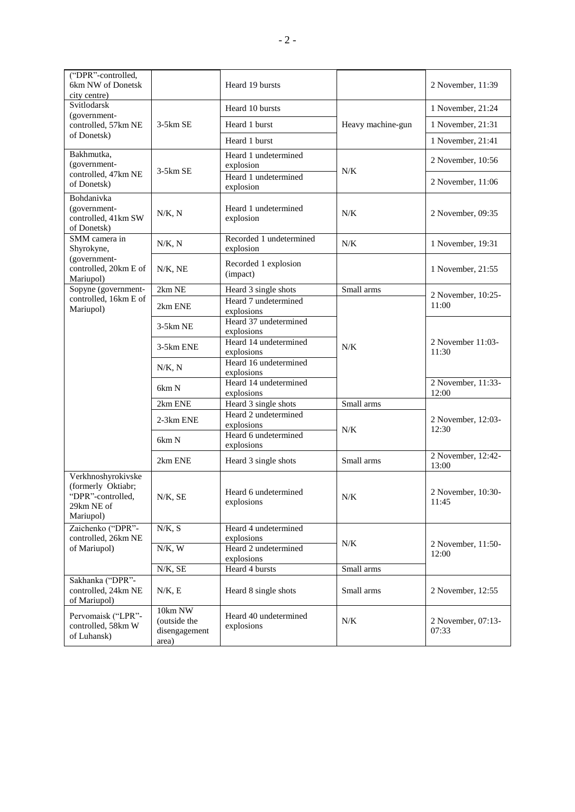| ("DPR"-controlled,<br>6km NW of Donetsk<br>city centre)                                  |                                                   | Heard 19 bursts                      |                   | 2 November, 11:39           |
|------------------------------------------------------------------------------------------|---------------------------------------------------|--------------------------------------|-------------------|-----------------------------|
| Svitlodarsk<br>(government-<br>controlled, 57km NE                                       | $3-5km$ SE                                        | Heard 10 bursts                      | Heavy machine-gun | 1 November, 21:24           |
|                                                                                          |                                                   | Heard 1 burst                        |                   | 1 November, 21:31           |
| of Donetsk)                                                                              |                                                   | Heard 1 burst                        |                   | 1 November, 21:41           |
| Bakhmutka,<br>(government-<br>controlled, 47km NE<br>of Donetsk)                         | $3-5km$ SE                                        | Heard 1 undetermined<br>explosion    | N/K               | 2 November, 10:56           |
|                                                                                          |                                                   | Heard 1 undetermined<br>explosion    |                   | 2 November, 11:06           |
| Bohdanivka<br>(government-<br>controlled, 41km SW<br>of Donetsk)                         | N/K, N                                            | Heard 1 undetermined<br>explosion    | N/K               | 2 November, 09:35           |
| SMM camera in<br>Shyrokyne,                                                              | N/K, N                                            | Recorded 1 undetermined<br>explosion | N/K               | 1 November, 19:31           |
| (government-<br>controlled, 20km E of<br>Mariupol)                                       | $N/K$ , NE                                        | Recorded 1 explosion<br>(impact)     |                   | 1 November, 21:55           |
| Sopyne (government-                                                                      | 2km NE                                            | Heard 3 single shots                 | Small arms        | 2 November, 10:25-          |
| controlled, 16km E of<br>Mariupol)                                                       | 2km ENE                                           | Heard 7 undetermined<br>explosions   |                   | 11:00                       |
|                                                                                          | $3-5km$ NE                                        | Heard 37 undetermined<br>explosions  | N/K               | 2 November 11:03-<br>11:30  |
|                                                                                          | 3-5km ENE                                         | Heard 14 undetermined<br>explosions  |                   |                             |
|                                                                                          | N/K, N                                            | Heard 16 undetermined<br>explosions  |                   |                             |
|                                                                                          | 6km N                                             | Heard 14 undetermined<br>explosions  |                   | 2 November, 11:33-<br>12:00 |
|                                                                                          | 2km ENE                                           | Heard 3 single shots                 | Small arms        |                             |
|                                                                                          | 2-3km ENE                                         | Heard 2 undetermined<br>explosions   | N/K               | 2 November, 12:03-<br>12:30 |
|                                                                                          | 6km N                                             | Heard 6 undetermined<br>explosions   |                   |                             |
|                                                                                          | 2km ENE                                           | Heard 3 single shots                 | Small arms        | 2 November, 12:42-<br>13:00 |
| Verkhnoshyrokivske<br>(formerly Oktiabr;<br>"DPR"-controlled,<br>29km NE of<br>Mariupol) | $N/K$ , SE                                        | Heard 6 undetermined<br>explosions   | $N/K$             | 2 November, 10:30-<br>11:45 |
| Zaichenko ("DPR"-<br>controlled, 26km NE                                                 | N/K, S                                            | Heard 4 undetermined<br>explosions   |                   |                             |
| of Mariupol)                                                                             | N/K, W                                            | Heard 2 undetermined<br>explosions   | $N/K$             | 2 November, 11:50-<br>12:00 |
|                                                                                          | N/K, SE                                           | Heard 4 bursts                       | Small arms        |                             |
| Sakhanka ("DPR"-<br>controlled, 24km NE<br>of Mariupol)                                  | $N/K$ , E                                         | Heard 8 single shots                 | Small arms        | 2 November, 12:55           |
| Pervomaisk ("LPR"-<br>controlled, 58km W<br>of Luhansk)                                  | 10km NW<br>(outside the<br>disengagement<br>area) | Heard 40 undetermined<br>explosions  | $N\!/\!K$         | 2 November, 07:13-<br>07:33 |